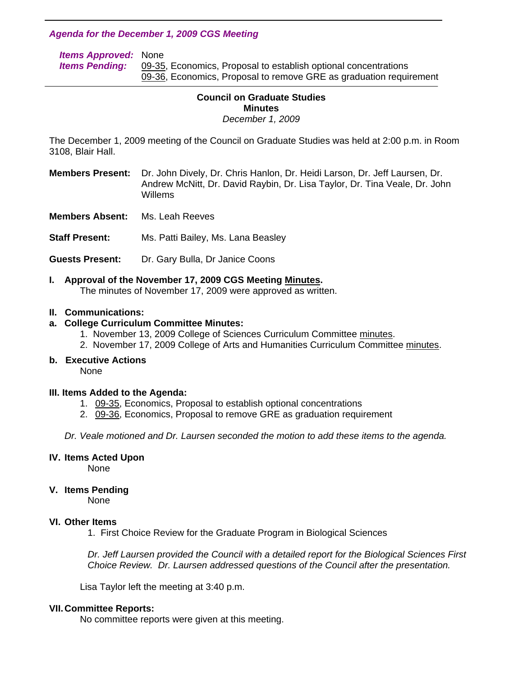# *Agenda for the December 1, 2009 CGS Meeting*

| <b>Items Approved: None</b> |                                                                    |
|-----------------------------|--------------------------------------------------------------------|
| <b>Items Pending:</b>       | 09-35, Economics, Proposal to establish optional concentrations    |
|                             | 09-36, Economics, Proposal to remove GRE as graduation requirement |

## **Council on Graduate Studies Minutes**  *December 1, 2009*

The December 1, 2009 meeting of the Council on Graduate Studies was held at 2:00 p.m. in Room 3108, Blair Hall.

**Members Present:** Dr. John Dively, Dr. Chris Hanlon, Dr. Heidi Larson, Dr. Jeff Laursen, Dr. Andrew McNitt, Dr. David Raybin, Dr. Lisa Taylor, Dr. Tina Veale, Dr. John Willems

**Members Absent:** Ms. Leah Reeves

l

**Staff Present:** Ms. Patti Bailey, Ms. Lana Beasley

- **Guests Present:** Dr. Gary Bulla, Dr Janice Coons
- **I. Approval of the November 17, 2009 CGS Meetin[g Minutes.](http://www.eiu.edu/~eiucgs/currentminutes/Minutes11-17-09.pdf)**  The minutes of November 17, 2009 were approved as written.

## **II. Communications:**

## **a. College Curriculum Committee Minutes:**

- 1. November 13, 2009 College of Sciences Curriculum Committe[e minutes.](http://www.eiu.edu/~eiucgs/currentagendaitems/COSmin11-13-09.pdf)
- 2. November 17, 2009 College of Arts and Humanities Curriculum Committee [minutes.](http://www.eiu.edu/~eiucgs/currentagendaitems/CAHMin11-17-09.pdf)

## **b. Executive Actions**

None

#### **III. Items Added to the Agenda:**

- 1. [09-35,](http://www.eiu.edu/~eiucgs/currentagendaitems/agenda09-35.pdf) Economics, Proposal to establish optional concentrations
- 2. [09-36, E](http://www.eiu.edu/~eiucgs/currentagendaitems/agenda09-36.pdf)conomics, Proposal to remove GRE as graduation requirement

*Dr. Veale motioned and Dr. Laursen seconded the motion to add these items to the agenda.* 

#### **IV. Items Acted Upon**

None

## **V. Items Pending**

None

#### **VI. Other Items**

1. First Choice Review for the Graduate Program in Biological Sciences

*Dr. Jeff Laursen provided the Council with a detailed report for the Biological Sciences First Choice Review. Dr. Laursen addressed questions of the Council after the presentation.* 

Lisa Taylor left the meeting at 3:40 p.m.

## **VII. Committee Reports:**

No committee reports were given at this meeting.